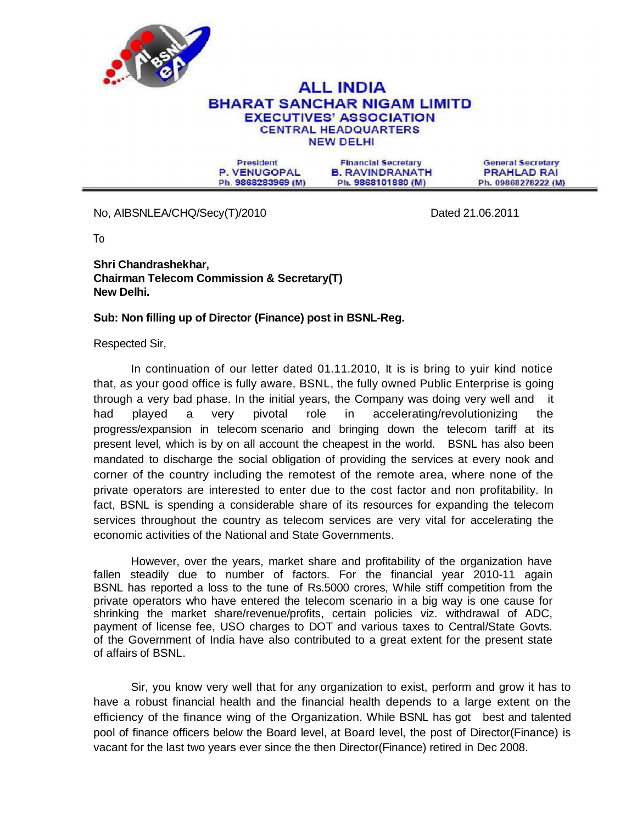

## **ALL INDIA BHARAT SANCHAR NIGAM LIMITD EXECUTIVES' ASSOCIATION CENTRAL HEADQUARTERS NEW DELHI**

President P. VENUGOPAL Ph. 9868283969 (M)

**Financial Secretary B. RAVINDRANATH** Ph. 9868101880 (M)

**General Secretary PRAHLAD RAI** Ph. 09868278222 (M)

No, AIBSNLEA/CHQ/Secy(T)/2010 **Dated 21.06.2011** 

To

**Shri Chandrashekhar, Chairman Telecom Commission & Secretary(T) New Delhi.** 

## **Sub: Non filling up of Director (Finance) post in BSNL-Reg.**

Respected Sir,

In continuation of our letter dated 01.11.2010, It is is bring to yuir kind notice that, as your good office is fully aware, BSNL, the fully owned Public Enterprise is going through a very bad phase. In the initial years, the Company was doing very well and it had played a very pivotal role in accelerating/revolutionizing the progress/expansion in telecom scenario and bringing down the telecom tariff at its present level, which is by on all account the cheapest in the world. BSNL has also been mandated to discharge the social obligation of providing the services at every nook and corner of the country including the remotest of the remote area, where none of the private operators are interested to enter due to the cost factor and non profitability. In fact, BSNL is spending a considerable share of its resources for expanding the telecom services throughout the country as telecom services are very vital for accelerating the economic activities of the National and State Governments.

However, over the years, market share and profitability of the organization have fallen steadily due to number of factors. For the financial year 2010-11 again BSNL has reported a loss to the tune of Rs.5000 crores, While stiff competition from the private operators who have entered the telecom scenario in a big way is one cause for shrinking the market share/revenue/profits, certain policies viz. withdrawal of ADC, payment of license fee, USO charges to DOT and various taxes to Central/State Govts. of the Government of India have also contributed to a great extent for the present state of affairs of BSNL.

Sir, you know very well that for any organization to exist, perform and grow it has to have a robust financial health and the financial health depends to a large extent on the efficiency of the finance wing of the Organization. While BSNL has got best and talented pool of finance officers below the Board level, at Board level, the post of Director(Finance) is vacant for the last two years ever since the then Director(Finance) retired in Dec 2008.